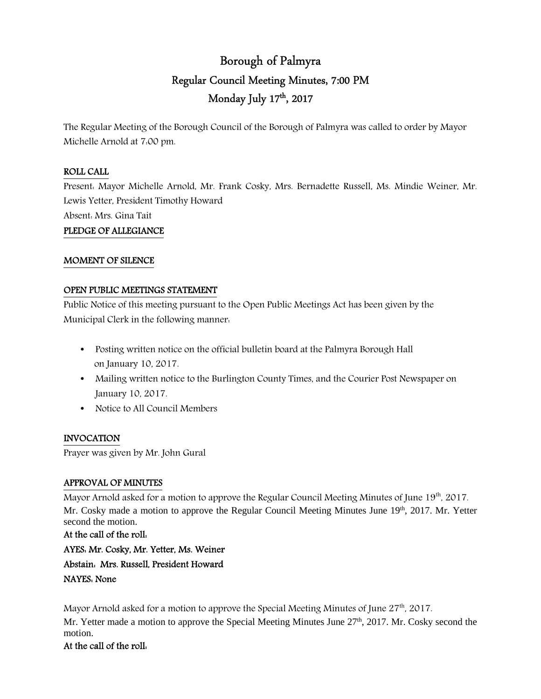# Borough of Palmyra Regular Council Meeting Minutes, 7:00 PM Monday July 17th , 2017

The Regular Meeting of the Borough Council of the Borough of Palmyra was called to order by Mayor Michelle Arnold at 7:00 pm.

#### ROLL CALL

Present: Mayor Michelle Arnold, Mr. Frank Cosky, Mrs. Bernadette Russell, Ms. Mindie Weiner, Mr. Lewis Yetter, President Timothy Howard

Absent: Mrs. Gina Tait

### PLEDGE OF ALLEGIANCE

#### MOMENT OF SILENCE

#### OPEN PUBLIC MEETINGS STATEMENT

Public Notice of this meeting pursuant to the Open Public Meetings Act has been given by the Municipal Clerk in the following manner:

- Posting written notice on the official bulletin board at the Palmyra Borough Hall on January 10, 2017.
- Mailing written notice to the Burlington County Times, and the Courier Post Newspaper on January 10, 2017.
- Notice to All Council Members

### INVOCATION

Prayer was given by Mr. John Gural

### APPROVAL OF MINUTES

Mayor Arnold asked for a motion to approve the Regular Council Meeting Minutes of June  $19<sup>th</sup>$ , 2017. Mr. Cosky made a motion to approve the Regular Council Meeting Minutes June 19th, 2017. Mr. Yetter second the motion.

At the call of the roll: AYES: Mr. Cosky, Mr. Yetter, Ms. Weiner Abstain: Mrs. Russell, President Howard NAYES: None

Mayor Arnold asked for a motion to approve the Special Meeting Minutes of June 27<sup>th</sup>, 2017.

Mr. Yetter made a motion to approve the Special Meeting Minutes June 27<sup>th</sup>, 2017. Mr. Cosky second the motion.

### At the call of the roll: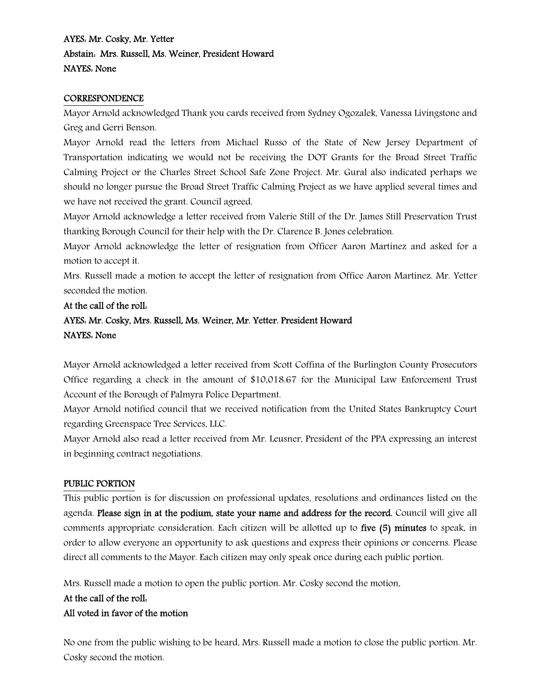# AYES: Mr. Cosky, Mr. Yetter Abstain: Mrs. Russell, Ms. Weiner, President Howard NAYES: None

#### **CORRESPONDENCE**

Mayor Arnold acknowledged Thank you cards received from Sydney Ogozalek, Vanessa Livingstone and Greg and Gerri Benson.

Mayor Arnold read the letters from Michael Russo of the State of New Jersey Department of Transportation indicating we would not be receiving the DOT Grants for the Broad Street Traffic Calming Project or the Charles Street School Safe Zone Project. Mr. Gural also indicated perhaps we should no longer pursue the Broad Street Traffic Calming Project as we have applied several times and we have not received the grant. Council agreed.

Mayor Arnold acknowledge a letter received from Valerie Still of the Dr. James Still Preservation Trust thanking Borough Council for their help with the Dr. Clarence B. Jones celebration.

Mayor Arnold acknowledge the letter of resignation from Officer Aaron Martinez and asked for a motion to accept it.

Mrs. Russell made a motion to accept the letter of resignation from Office Aaron Martinez. Mr. Yetter seconded the motion.

# At the call of the roll: AYES: Mr. Cosky, Mrs. Russell, Ms. Weiner, Mr. Yetter. President Howard NAYES: None

Mayor Arnold acknowledged a letter received from Scott Coffina of the Burlington County Prosecutors Office regarding a check in the amount of \$10,018.67 for the Municipal Law Enforcement Trust Account of the Borough of Palmyra Police Department.

Mayor Arnold notified council that we received notification from the United States Bankruptcy Court regarding Greenspace Tree Services, LLC.

Mayor Arnold also read a letter received from Mr. Leusner, President of the PPA expressing an interest in beginning contract negotiations.

### PUBLIC PORTION

This public portion is for discussion on professional updates, resolutions and ordinances listed on the agenda. Please sign in at the podium, state your name and address for the record. Council will give all comments appropriate consideration. Each citizen will be allotted up to five (5) minutes to speak, in order to allow everyone an opportunity to ask questions and express their opinions or concerns. Please direct all comments to the Mayor. Each citizen may only speak once during each public portion.

Mrs. Russell made a motion to open the public portion. Mr. Cosky second the motion.

# At the call of the roll: All voted in favor of the motion

No one from the public wishing to be heard, Mrs. Russell made a motion to close the public portion. Mr. Cosky second the motion.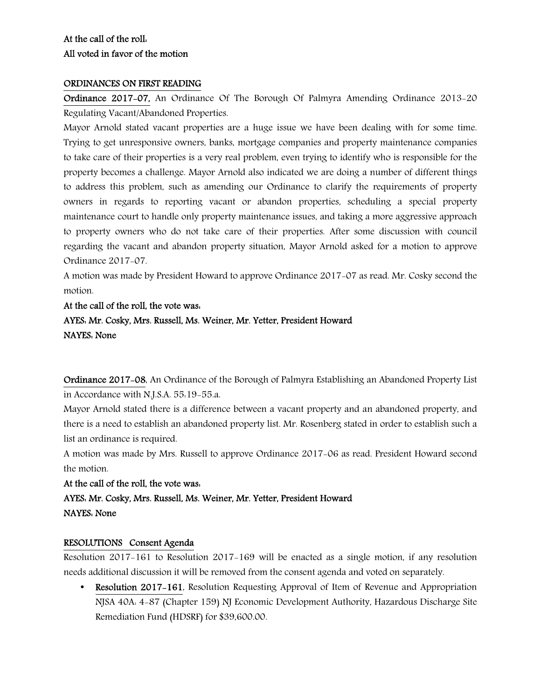# At the call of the roll: All voted in favor of the motion

#### ORDINANCES ON FIRST READING

Ordinance 2017-07, An Ordinance Of The Borough Of Palmyra Amending Ordinance 2013-20 Regulating Vacant/Abandoned Properties.

Mayor Arnold stated vacant properties are a huge issue we have been dealing with for some time. Trying to get unresponsive owners, banks, mortgage companies and property maintenance companies to take care of their properties is a very real problem, even trying to identify who is responsible for the property becomes a challenge. Mayor Arnold also indicated we are doing a number of different things to address this problem, such as amending our Ordinance to clarify the requirements of property owners in regards to reporting vacant or abandon properties, scheduling a special property maintenance court to handle only property maintenance issues, and taking a more aggressive approach to property owners who do not take care of their properties. After some discussion with council regarding the vacant and abandon property situation, Mayor Arnold asked for a motion to approve Ordinance 2017-07.

A motion was made by President Howard to approve Ordinance 2017-07 as read. Mr. Cosky second the motion.

At the call of the roll, the vote was: AYES: Mr. Cosky, Mrs. Russell, Ms. Weiner, Mr. Yetter, President Howard NAYES: None

Ordinance 2017-08, An Ordinance of the Borough of Palmyra Establishing an Abandoned Property List in Accordance with N.J.S.A. 55:19-55.a.

Mayor Arnold stated there is a difference between a vacant property and an abandoned property, and there is a need to establish an abandoned property list. Mr. Rosenberg stated in order to establish such a list an ordinance is required.

A motion was made by Mrs. Russell to approve Ordinance 2017-06 as read. President Howard second the motion.

At the call of the roll, the vote was: AYES: Mr. Cosky, Mrs. Russell, Ms. Weiner, Mr. Yetter, President Howard NAYES: None

### RESOLUTIONS Consent Agenda

Resolution 2017-161 to Resolution 2017-169 will be enacted as a single motion, if any resolution needs additional discussion it will be removed from the consent agenda and voted on separately.

• Resolution 2017–161, Resolution Requesting Approval of Item of Revenue and Appropriation NJSA 40A: 4-87 (Chapter 159) NJ Economic Development Authority, Hazardous Discharge Site Remediation Fund (HDSRF) for \$39,600.00.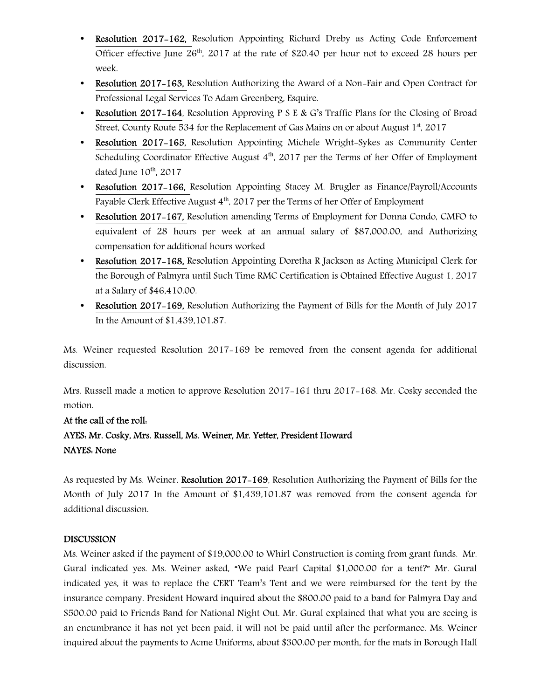- Resolution 2017-162, Resolution Appointing Richard Dreby as Acting Code Enforcement Officer effective June  $26<sup>th</sup>$ , 2017 at the rate of \$20.40 per hour not to exceed 28 hours per week.
- Resolution 2017-163, Resolution Authorizing the Award of a Non-Fair and Open Contract for Professional Legal Services To Adam Greenberg, Esquire.
- Resolution 2017–164, Resolution Approving P S E & G's Traffic Plans for the Closing of Broad Street, County Route 534 for the Replacement of Gas Mains on or about August  $1<sup>st</sup>$ , 2017
- Resolution 2017–165, Resolution Appointing Michele Wright-Sykes as Community Center Scheduling Coordinator Effective August  $4<sup>th</sup>$ , 2017 per the Terms of her Offer of Employment dated June 10<sup>th</sup>, 2017
- Resolution 2017-166, Resolution Appointing Stacey M. Brugler as Finance/Payroll/Accounts Payable Clerk Effective August 4<sup>th</sup>, 2017 per the Terms of her Offer of Employment
- Resolution 2017-167, Resolution amending Terms of Employment for Donna Condo, CMFO to equivalent of 28 hours per week at an annual salary of \$87,000.00, and Authorizing compensation for additional hours worked
- Resolution 2017–168, Resolution Appointing Doretha R Jackson as Acting Municipal Clerk for the Borough of Palmyra until Such Time RMC Certification is Obtained Effective August 1, 2017 at a Salary of \$46,410.00.
- Resolution 2017-169, Resolution Authorizing the Payment of Bills for the Month of July 2017 In the Amount of \$1,439,101.87.

Ms. Weiner requested Resolution 2017-169 be removed from the consent agenda for additional discussion.

Mrs. Russell made a motion to approve Resolution 2017-161 thru 2017-168. Mr. Cosky seconded the motion.

# At the call of the roll: AYES: Mr. Cosky, Mrs. Russell, Ms. Weiner, Mr. Yetter, President Howard NAYES: None

As requested by Ms. Weiner, Resolution 2017-169, Resolution Authorizing the Payment of Bills for the Month of July 2017 In the Amount of \$1,439,101.87 was removed from the consent agenda for additional discussion.

### DISCUSSION

Ms. Weiner asked if the payment of \$19,000.00 to Whirl Construction is coming from grant funds. Mr. Gural indicated yes. Ms. Weiner asked, "We paid Pearl Capital \$1,000.00 for a tent?" Mr. Gural indicated yes, it was to replace the CERT Team's Tent and we were reimbursed for the tent by the insurance company. President Howard inquired about the \$800.00 paid to a band for Palmyra Day and \$500.00 paid to Friends Band for National Night Out. Mr. Gural explained that what you are seeing is an encumbrance it has not yet been paid, it will not be paid until after the performance. Ms. Weiner inquired about the payments to Acme Uniforms, about \$300.00 per month, for the mats in Borough Hall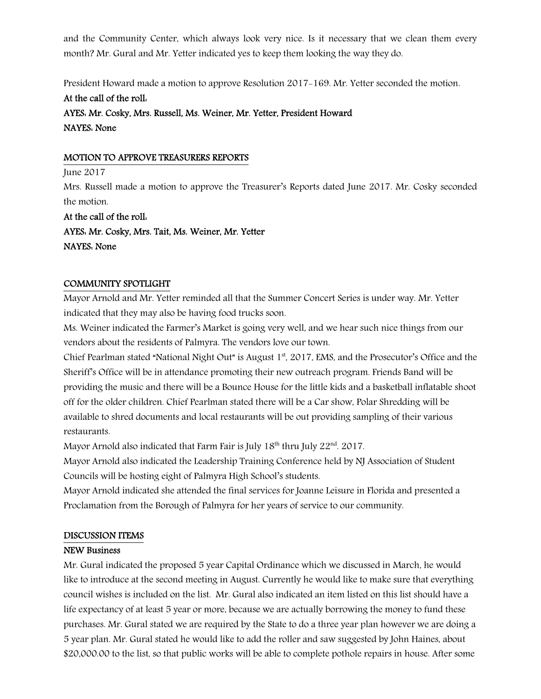and the Community Center, which always look very nice. Is it necessary that we clean them every month? Mr. Gural and Mr. Yetter indicated yes to keep them looking the way they do.

President Howard made a motion to approve Resolution 2017-169. Mr. Yetter seconded the motion.

# At the call of the roll:

AYES: Mr. Cosky, Mrs. Russell, Ms. Weiner, Mr. Yetter, President Howard NAYES: None

### MOTION TO APPROVE TREASURERS REPORTS

June 2017

Mrs. Russell made a motion to approve the Treasurer's Reports dated June 2017. Mr. Cosky seconded the motion.

At the call of the roll: AYES: Mr. Cosky, Mrs. Tait, Ms. Weiner, Mr. Yetter NAYES: None

### COMMUNITY SPOTLIGHT

Mayor Arnold and Mr. Yetter reminded all that the Summer Concert Series is under way. Mr. Yetter indicated that they may also be having food trucks soon.

Ms. Weiner indicated the Farmer's Market is going very well, and we hear such nice things from our vendors about the residents of Palmyra. The vendors love our town.

Chief Pearlman stated "National Night Out" is August 1<sup>st</sup>, 2017, EMS, and the Prosecutor's Office and the Sheriff's Office will be in attendance promoting their new outreach program. Friends Band will be providing the music and there will be a Bounce House for the little kids and a basketball inflatable shoot off for the older children. Chief Pearlman stated there will be a Car show, Polar Shredding will be available to shred documents and local restaurants will be out providing sampling of their various restaurants.

Mayor Arnold also indicated that Farm Fair is July  $18<sup>th</sup>$  thru July  $22<sup>nd</sup>$ . 2017.

Mayor Arnold also indicated the Leadership Training Conference held by NJ Association of Student Councils will be hosting eight of Palmyra High School's students.

Mayor Arnold indicated she attended the final services for Joanne Leisure in Florida and presented a Proclamation from the Borough of Palmyra for her years of service to our community.

# DISCUSSION ITEMS

# NEW Business

Mr. Gural indicated the proposed 5 year Capital Ordinance which we discussed in March, he would like to introduce at the second meeting in August. Currently he would like to make sure that everything council wishes is included on the list. Mr. Gural also indicated an item listed on this list should have a life expectancy of at least 5 year or more, because we are actually borrowing the money to fund these purchases. Mr. Gural stated we are required by the State to do a three year plan however we are doing a 5 year plan. Mr. Gural stated he would like to add the roller and saw suggested by John Haines, about \$20,000.00 to the list, so that public works will be able to complete pothole repairs in house. After some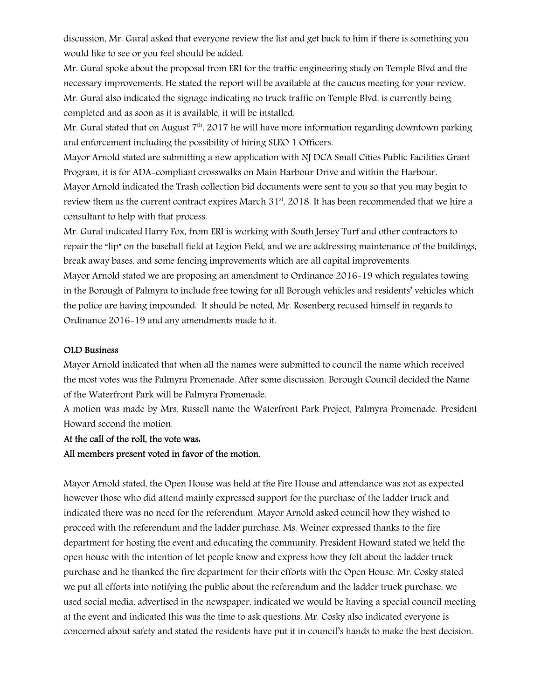discussion, Mr. Gural asked that everyone review the list and get back to him if there is something you would like to see or you feel should be added.

Mr. Gural spoke about the proposal from ERI for the traffic engineering study on Temple Blvd and the necessary improvements. He stated the report will be available at the caucus meeting for your review. Mr. Gural also indicated the signage indicating no truck traffic on Temple Blvd. is currently being completed and as soon as it is available, it will be installed.

Mr. Gural stated that on August  $7<sup>th</sup>$ , 2017 he will have more information regarding downtown parking and enforcement including the possibility of hiring SLEO 1 Officers.

Mayor Arnold stated are submitting a new application with NJ DCA Small Cities Public Facilities Grant Program, it is for ADA-compliant crosswalks on Main Harbour Drive and within the Harbour.

Mayor Arnold indicated the Trash collection bid documents were sent to you so that you may begin to review them as the current contract expires March 31<sup>st</sup>, 2018. It has been recommended that we hire a consultant to help with that process.

Mr. Gural indicated Harry Fox, from ERI is working with South Jersey Turf and other contractors to repair the "lip" on the baseball field at Legion Field, and we are addressing maintenance of the buildings, break away bases, and some fencing improvements which are all capital improvements.

Mayor Arnold stated we are proposing an amendment to Ordinance 2016-19 which regulates towing in the Borough of Palmyra to include free towing for all Borough vehicles and residents' vehicles which the police are having impounded. It should be noted, Mr. Rosenberg recused himself in regards to Ordinance 2016-19 and any amendments made to it.

#### OLD Business

Mayor Arnold indicated that when all the names were submitted to council the name which received the most votes was the Palmyra Promenade. After some discussion. Borough Council decided the Name of the Waterfront Park will be Palmyra Promenade.

A motion was made by Mrs. Russell name the Waterfront Park Project, Palmyra Promenade. President Howard second the motion.

#### At the call of the roll, the vote was:

#### All members present voted in favor of the motion.

Mayor Arnold stated, the Open House was held at the Fire House and attendance was not as expected however those who did attend mainly expressed support for the purchase of the ladder truck and indicated there was no need for the referendum. Mayor Arnold asked council how they wished to proceed with the referendum and the ladder purchase. Ms. Weiner expressed thanks to the fire department for hosting the event and educating the community. President Howard stated we held the open house with the intention of let people know and express how they felt about the ladder truck purchase and he thanked the fire department for their efforts with the Open House. Mr. Cosky stated we put all efforts into notifying the public about the referendum and the ladder truck purchase, we used social media, advertised in the newspaper, indicated we would be having a special council meeting at the event and indicated this was the time to ask questions. Mr. Cosky also indicated everyone is concerned about safety and stated the residents have put it in council's hands to make the best decision.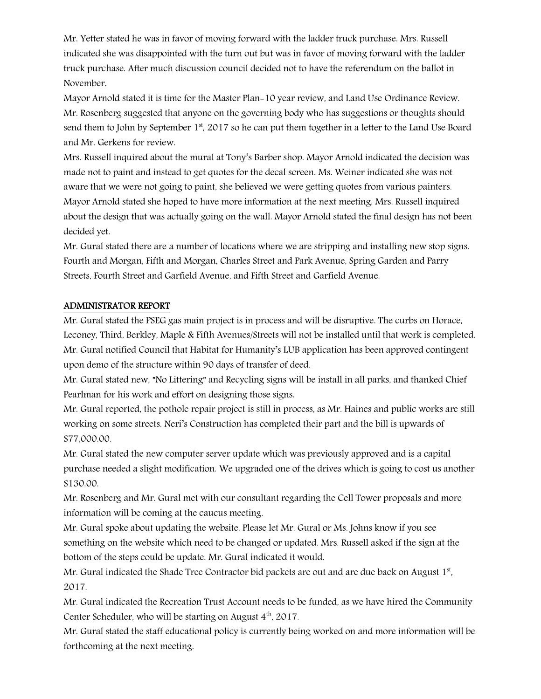Mr. Yetter stated he was in favor of moving forward with the ladder truck purchase. Mrs. Russell indicated she was disappointed with the turn out but was in favor of moving forward with the ladder truck purchase. After much discussion council decided not to have the referendum on the ballot in November.

Mayor Arnold stated it is time for the Master Plan-10 year review, and Land Use Ordinance Review. Mr. Rosenberg suggested that anyone on the governing body who has suggestions or thoughts should send them to John by September  $1<sup>st</sup>$ , 2017 so he can put them together in a letter to the Land Use Board and Mr. Gerkens for review.

Mrs. Russell inquired about the mural at Tony's Barber shop. Mayor Arnold indicated the decision was made not to paint and instead to get quotes for the decal screen. Ms. Weiner indicated she was not aware that we were not going to paint, she believed we were getting quotes from various painters. Mayor Arnold stated she hoped to have more information at the next meeting. Mrs. Russell inquired about the design that was actually going on the wall. Mayor Arnold stated the final design has not been decided yet.

Mr. Gural stated there are a number of locations where we are stripping and installing new stop signs. Fourth and Morgan, Fifth and Morgan, Charles Street and Park Avenue, Spring Garden and Parry Streets, Fourth Street and Garfield Avenue, and Fifth Street and Garfield Avenue.

#### ADMINISTRATOR REPORT

Mr. Gural stated the PSEG gas main project is in process and will be disruptive. The curbs on Horace, Leconey, Third, Berkley, Maple & Fifth Avenues/Streets will not be installed until that work is completed. Mr. Gural notified Council that Habitat for Humanity's LUB application has been approved contingent upon demo of the structure within 90 days of transfer of deed.

Mr. Gural stated new, "No Littering" and Recycling signs will be install in all parks, and thanked Chief Pearlman for his work and effort on designing those signs.

Mr. Gural reported, the pothole repair project is still in process, as Mr. Haines and public works are still working on some streets. Neri's Construction has completed their part and the bill is upwards of \$77,000.00.

Mr. Gural stated the new computer server update which was previously approved and is a capital purchase needed a slight modification. We upgraded one of the drives which is going to cost us another \$130.00.

Mr. Rosenberg and Mr. Gural met with our consultant regarding the Cell Tower proposals and more information will be coming at the caucus meeting.

Mr. Gural spoke about updating the website. Please let Mr. Gural or Ms. Johns know if you see something on the website which need to be changed or updated. Mrs. Russell asked if the sign at the bottom of the steps could be update. Mr. Gural indicated it would.

Mr. Gural indicated the Shade Tree Contractor bid packets are out and are due back on August  $1<sup>st</sup>$ , 2017.

Mr. Gural indicated the Recreation Trust Account needs to be funded, as we have hired the Community Center Scheduler, who will be starting on August  $4<sup>th</sup>$ , 2017.

Mr. Gural stated the staff educational policy is currently being worked on and more information will be forthcoming at the next meeting.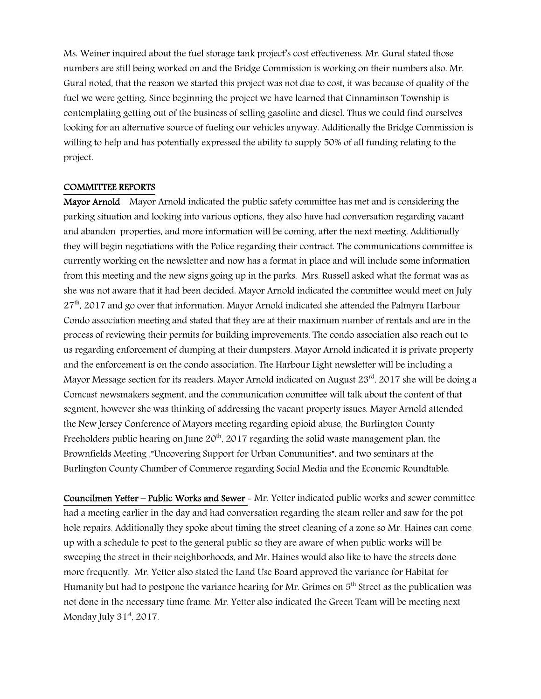Ms. Weiner inquired about the fuel storage tank project's cost effectiveness. Mr. Gural stated those numbers are still being worked on and the Bridge Commission is working on their numbers also. Mr. Gural noted, that the reason we started this project was not due to cost, it was because of quality of the fuel we were getting. Since beginning the project we have learned that Cinnaminson Township is contemplating getting out of the business of selling gasoline and diesel. Thus we could find ourselves looking for an alternative source of fueling our vehicles anyway. Additionally the Bridge Commission is willing to help and has potentially expressed the ability to supply 50% of all funding relating to the project.

#### COMMITTEE REPORTS

Mayor Arnold – Mayor Arnold indicated the public safety committee has met and is considering the parking situation and looking into various options, they also have had conversation regarding vacant and abandon properties, and more information will be coming, after the next meeting. Additionally they will begin negotiations with the Police regarding their contract. The communications committee is currently working on the newsletter and now has a format in place and will include some information from this meeting and the new signs going up in the parks. Mrs. Russell asked what the format was as she was not aware that it had been decided. Mayor Arnold indicated the committee would meet on July  $27<sup>th</sup>$ , 2017 and go over that information. Mayor Arnold indicated she attended the Palmyra Harbour Condo association meeting and stated that they are at their maximum number of rentals and are in the process of reviewing their permits for building improvements. The condo association also reach out to us regarding enforcement of dumping at their dumpsters. Mayor Arnold indicated it is private property and the enforcement is on the condo association. The Harbour Light newsletter will be including a Mayor Message section for its readers. Mayor Arnold indicated on August 23<sup>rd</sup>, 2017 she will be doing a Comcast newsmakers segment, and the communication committee will talk about the content of that segment, however she was thinking of addressing the vacant property issues. Mayor Arnold attended the New Jersey Conference of Mayors meeting regarding opioid abuse, the Burlington County Freeholders public hearing on June  $20<sup>th</sup>$ , 2017 regarding the solid waste management plan, the Brownfields Meeting ,"Uncovering Support for Urban Communities", and two seminars at the Burlington County Chamber of Commerce regarding Social Media and the Economic Roundtable.

Councilmen Yetter – Public Works and Sewer - Mr. Yetter indicated public works and sewer committee had a meeting earlier in the day and had conversation regarding the steam roller and saw for the pot hole repairs. Additionally they spoke about timing the street cleaning of a zone so Mr. Haines can come up with a schedule to post to the general public so they are aware of when public works will be sweeping the street in their neighborhoods, and Mr. Haines would also like to have the streets done more frequently. Mr. Yetter also stated the Land Use Board approved the variance for Habitat for Humanity but had to postpone the variance hearing for Mr. Grimes on  $5<sup>th</sup>$  Street as the publication was not done in the necessary time frame. Mr. Yetter also indicated the Green Team will be meeting next Monday July 31<sup>st</sup>, 2017.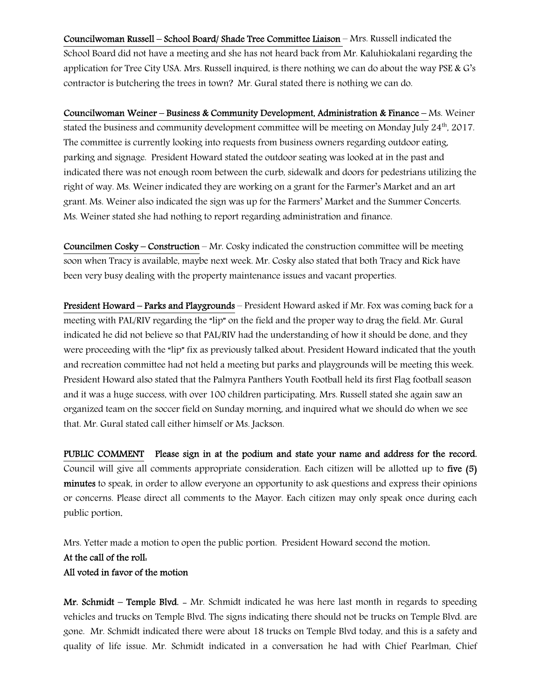Councilwoman Russell – School Board/ Shade Tree Committee Liaison – Mrs. Russell indicated the School Board did not have a meeting and she has not heard back from Mr. Kaluhiokalani regarding the application for Tree City USA. Mrs. Russell inquired, is there nothing we can do about the way PSE & G's contractor is butchering the trees in town? Mr. Gural stated there is nothing we can do.

Councilwoman Weiner – Business & Community Development, Administration & Finance – Ms. Weiner stated the business and community development committee will be meeting on Monday July  $24<sup>th</sup>$ , 2017. The committee is currently looking into requests from business owners regarding outdoor eating, parking and signage. President Howard stated the outdoor seating was looked at in the past and indicated there was not enough room between the curb, sidewalk and doors for pedestrians utilizing the right of way. Ms. Weiner indicated they are working on a grant for the Farmer's Market and an art grant. Ms. Weiner also indicated the sign was up for the Farmers' Market and the Summer Concerts. Ms. Weiner stated she had nothing to report regarding administration and finance.

Councilmen Cosky – Construction – Mr. Cosky indicated the construction committee will be meeting soon when Tracy is available, maybe next week. Mr. Cosky also stated that both Tracy and Rick have been very busy dealing with the property maintenance issues and vacant properties.

President Howard – Parks and Playgrounds – President Howard asked if Mr. Fox was coming back for a meeting with PAL/RIV regarding the "lip" on the field and the proper way to drag the field. Mr. Gural indicated he did not believe so that PAL/RIV had the understanding of how it should be done, and they were proceeding with the "lip" fix as previously talked about. President Howard indicated that the youth and recreation committee had not held a meeting but parks and playgrounds will be meeting this week. President Howard also stated that the Palmyra Panthers Youth Football held its first Flag football season and it was a huge success, with over 100 children participating. Mrs. Russell stated she again saw an organized team on the soccer field on Sunday morning, and inquired what we should do when we see that. Mr. Gural stated call either himself or Ms. Jackson.

PUBLIC COMMENT Please sign in at the podium and state your name and address for the record. Council will give all comments appropriate consideration. Each citizen will be allotted up to five (5) minutes to speak, in order to allow everyone an opportunity to ask questions and express their opinions or concerns. Please direct all comments to the Mayor. Each citizen may only speak once during each public portion.

Mrs. Yetter made a motion to open the public portion. President Howard second the motion. At the call of the roll: All voted in favor of the motion

Mr. Schmidt – Temple Blvd. - Mr. Schmidt indicated he was here last month in regards to speeding vehicles and trucks on Temple Blvd. The signs indicating there should not be trucks on Temple Blvd. are gone. Mr. Schmidt indicated there were about 18 trucks on Temple Blvd today, and this is a safety and quality of life issue. Mr. Schmidt indicated in a conversation he had with Chief Pearlman, Chief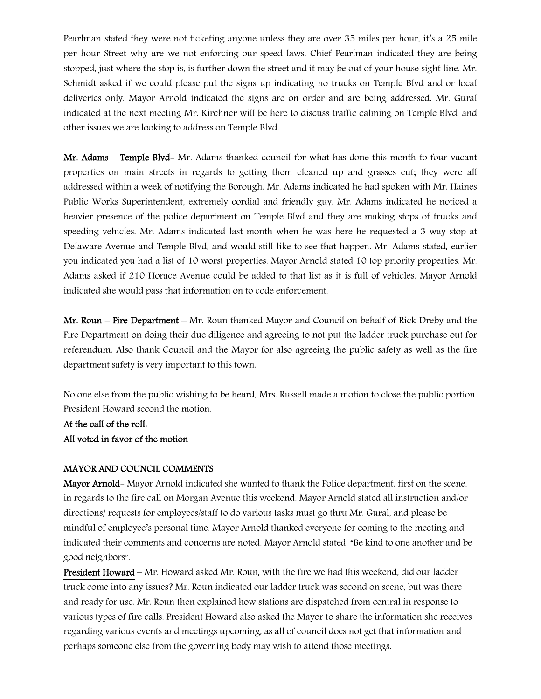Pearlman stated they were not ticketing anyone unless they are over 35 miles per hour, it's a 25 mile per hour Street why are we not enforcing our speed laws. Chief Pearlman indicated they are being stopped, just where the stop is, is further down the street and it may be out of your house sight line. Mr. Schmidt asked if we could please put the signs up indicating no trucks on Temple Blvd and or local deliveries only. Mayor Arnold indicated the signs are on order and are being addressed. Mr. Gural indicated at the next meeting Mr. Kirchner will be here to discuss traffic calming on Temple Blvd. and other issues we are looking to address on Temple Blvd.

Mr. Adams – Temple Blvd- Mr. Adams thanked council for what has done this month to four vacant properties on main streets in regards to getting them cleaned up and grasses cut; they were all addressed within a week of notifying the Borough. Mr. Adams indicated he had spoken with Mr. Haines Public Works Superintendent, extremely cordial and friendly guy. Mr. Adams indicated he noticed a heavier presence of the police department on Temple Blvd and they are making stops of trucks and speeding vehicles. Mr. Adams indicated last month when he was here he requested a 3 way stop at Delaware Avenue and Temple Blvd, and would still like to see that happen. Mr. Adams stated, earlier you indicated you had a list of 10 worst properties. Mayor Arnold stated 10 top priority properties. Mr. Adams asked if 210 Horace Avenue could be added to that list as it is full of vehicles. Mayor Arnold indicated she would pass that information on to code enforcement.

Mr. Roun – Fire Department – Mr. Roun thanked Mayor and Council on behalf of Rick Dreby and the Fire Department on doing their due diligence and agreeing to not put the ladder truck purchase out for referendum. Also thank Council and the Mayor for also agreeing the public safety as well as the fire department safety is very important to this town.

No one else from the public wishing to be heard, Mrs. Russell made a motion to close the public portion. President Howard second the motion.

At the call of the roll: All voted in favor of the motion

#### MAYOR AND COUNCIL COMMENTS

Mayor Arnold- Mayor Arnold indicated she wanted to thank the Police department, first on the scene, in regards to the fire call on Morgan Avenue this weekend. Mayor Arnold stated all instruction and/or directions/ requests for employees/staff to do various tasks must go thru Mr. Gural, and please be mindful of employee's personal time. Mayor Arnold thanked everyone for coming to the meeting and indicated their comments and concerns are noted. Mayor Arnold stated, "Be kind to one another and be good neighbors".

President Howard – Mr. Howard asked Mr. Roun, with the fire we had this weekend, did our ladder truck come into any issues? Mr. Roun indicated our ladder truck was second on scene, but was there and ready for use. Mr. Roun then explained how stations are dispatched from central in response to various types of fire calls. President Howard also asked the Mayor to share the information she receives regarding various events and meetings upcoming, as all of council does not get that information and perhaps someone else from the governing body may wish to attend those meetings.